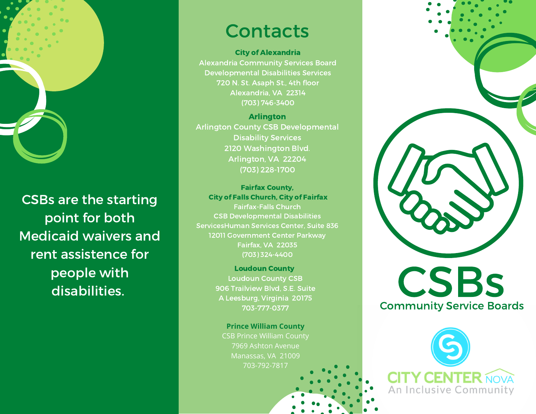

CSBs are the starting point for both Medicaid waivers and rent assistence for people with disabilities.

## **Contacts**

City of Alexandria Alexandria Community Services Board Developmental Disabilities Services 720 N. St. Asaph St., 4th floor Alexandria, VA 22314 (703) 746-3400

Arlington Arlington County CSB Developmental Disability Services 2120 Washington Blvd. Arlington, VA 22204 (703) 228-1700

Fairfax County, City of Falls Church, City of Fairfax Fairfax-Falls Church

CSB Developmental Disabilities ServicesHuman Services Center, Suite 836 12011 Government Center Parkway Fairfax, VA 22035 (703) 324-4400

> Loudoun County Loudoun County CSB 906 Trailview Blvd, S.E. Suite A Leesburg, Virginia 20175 703-777-0377

**Prince William County** CSB Prince William County 7969 Ashton Avenue Manassas, VA 21009 703-792-7817



**CSBs** Community Service Boards